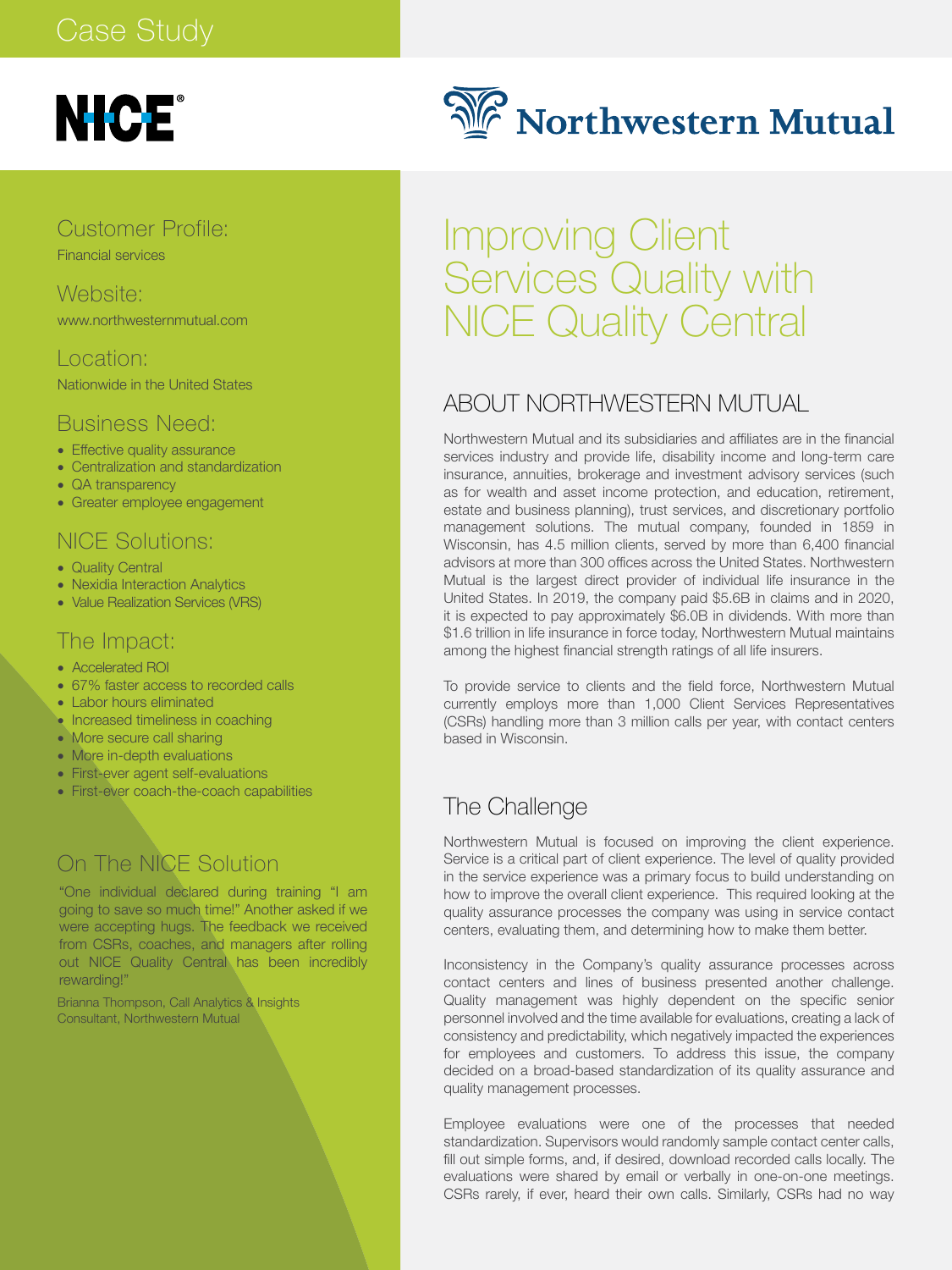# **NICE®**

Customer Profile: Financial services

Website: www.northwesternmutual.com

#### Location:

Nationwide in the United States

#### Business Need:

- Effective quality assurance
- Centralization and standardization
- QA transparency
- Greater employee engagement

#### NICE Solutions:

- Quality Central
- Nexidia Interaction Analytics
- Value Realization Services (VRS)

#### The Impact:

- Accelerated ROI
- 67% faster access to recorded calls
- Labor hours eliminated
- Increased timeliness in coaching
- More secure call sharing
- More in-depth evaluations
- First-ever agent self-evaluations
- First-ever coach-the-coach capabilities

### On The NICE Solution

"One individual declared during training "I am going to save so much time!" Another asked if we were accepting hugs. The feedback we received from CSRs, coaches, and managers after rolling out NICE Quality Central has been incredibly rewarding!"

Brianna Thompson, Call Analytics & Insights Consultant, Northwestern Mutual



# Improving Client Services Quality with NICE Quality Central

#### ABOUT NORTHWESTERN MUTUAL

Northwestern Mutual and its subsidiaries and affiliates are in the financial services industry and provide life, disability income and long-term care insurance, annuities, brokerage and investment advisory services (such as for wealth and asset income protection, and education, retirement, estate and business planning), trust services, and discretionary portfolio management solutions. The mutual company, founded in 1859 in Wisconsin, has 4.5 million clients, served by more than 6,400 financial advisors at more than 300 offices across the United States. Northwestern Mutual is the largest direct provider of individual life insurance in the United States. In 2019, the company paid \$5.6B in claims and in 2020, it is expected to pay approximately \$6.0B in dividends. With more than \$1.6 trillion in life insurance in force today, Northwestern Mutual maintains among the highest financial strength ratings of all life insurers.

To provide service to clients and the field force, Northwestern Mutual currently employs more than 1,000 Client Services Representatives (CSRs) handling more than 3 million calls per year, with contact centers based in Wisconsin.

#### The Challenge

Northwestern Mutual is focused on improving the client experience. Service is a critical part of client experience. The level of quality provided in the service experience was a primary focus to build understanding on how to improve the overall client experience. This required looking at the quality assurance processes the company was using in service contact centers, evaluating them, and determining how to make them better.

Inconsistency in the Company's quality assurance processes across contact centers and lines of business presented another challenge. Quality management was highly dependent on the specific senior personnel involved and the time available for evaluations, creating a lack of consistency and predictability, which negatively impacted the experiences for employees and customers. To address this issue, the company decided on a broad-based standardization of its quality assurance and quality management processes.

Employee evaluations were one of the processes that needed standardization. Supervisors would randomly sample contact center calls, fill out simple forms, and, if desired, download recorded calls locally. The evaluations were shared by email or verbally in one-on-one meetings. CSRs rarely, if ever, heard their own calls. Similarly, CSRs had no way